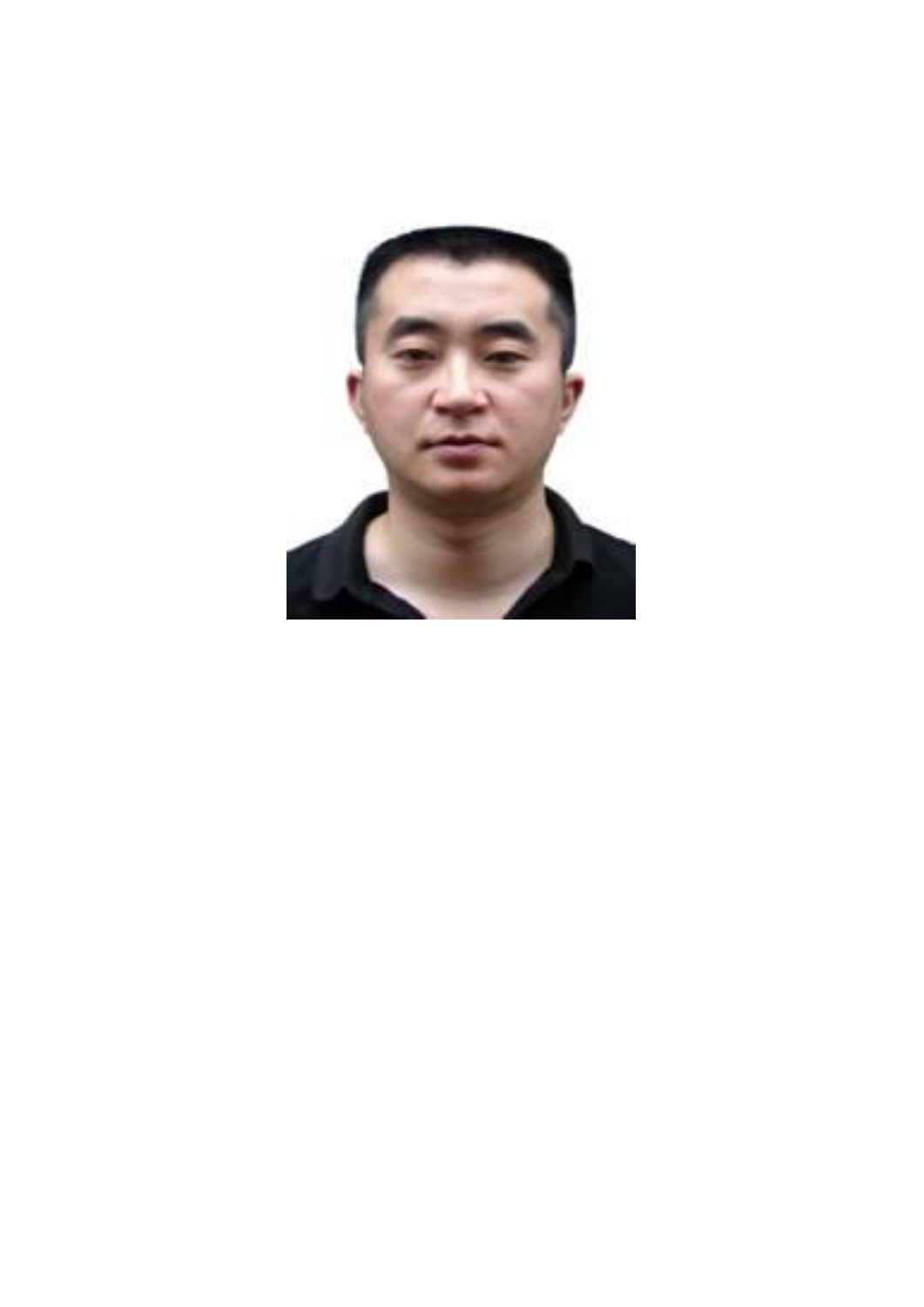